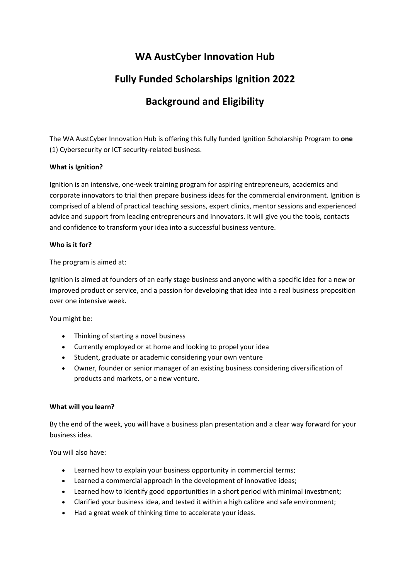### **WA AustCyber Innovation Hub**

# **Fully Funded Scholarships Ignition 2022**

# **Background and Eligibility**

The WA AustCyber Innovation Hub is offering this fully funded Ignition Scholarship Program to **one** (1) Cybersecurity or ICT security-related business.

### **What is Ignition?**

Ignition is an intensive, one-week training program for aspiring entrepreneurs, academics and corporate innovators to trial then prepare business ideas for the commercial environment. Ignition is comprised of a blend of practical teaching sessions, expert clinics, mentor sessions and experienced advice and support from leading entrepreneurs and innovators. It will give you the tools, contacts and confidence to transform your idea into a successful business venture.

### **Who is it for?**

The program is aimed at:

Ignition is aimed at founders of an early stage business and anyone with a specific idea for a new or improved product or service, and a passion for developing that idea into a real business proposition over one intensive week.

You might be:

- Thinking of starting a novel business
- Currently employed or at home and looking to propel your idea
- Student, graduate or academic considering your own venture
- Owner, founder or senior manager of an existing business considering diversification of products and markets, or a new venture.

### **What will you learn?**

By the end of the week, you will have a business plan presentation and a clear way forward for your business idea.

You will also have:

- Learned how to explain your business opportunity in commercial terms;
- Learned a commercial approach in the development of innovative ideas;
- Learned how to identify good opportunities in a short period with minimal investment;
- Clarified your business idea, and tested it within a high calibre and safe environment;
- Had a great week of thinking time to accelerate your ideas.